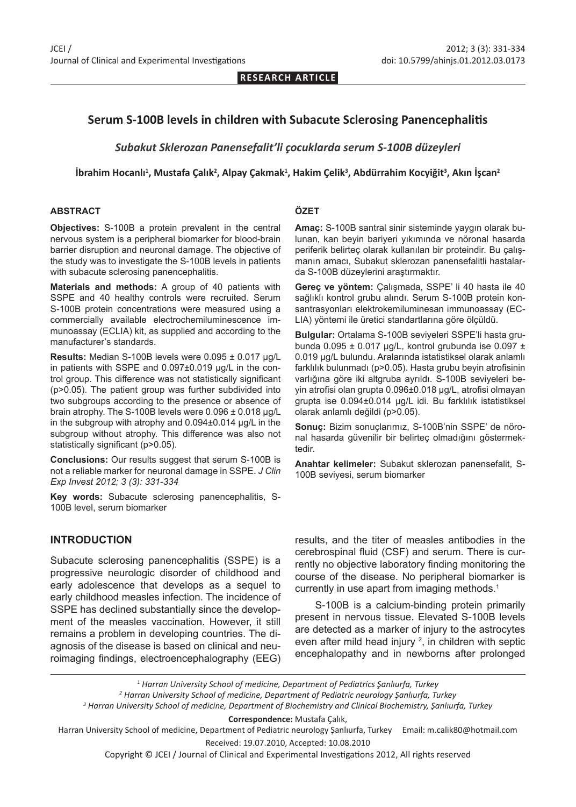**RESEARCH ARTICLE**

### **Serum S-100B levels in children with Subacute Sclerosing Panencephalitis**

*Subakut Sklerozan Panensefalit'li çocuklarda serum S-100B düzeyleri*

#### **İbrahim Hocanlı<sup>1</sup> , Mustafa Çalık<sup>2</sup> , Alpay Çakmak<sup>1</sup> , Hakim Çelik<sup>3</sup> , Abdürrahim Kocyiğit<sup>3</sup> , Akın İşcan<sup>2</sup>**

#### **ABSTRACT**

**ÖZET**

**Objectives:** S-100B a protein prevalent in the central nervous system is a peripheral biomarker for blood-brain barrier disruption and neuronal damage. The objective of the study was to investigate the S-100B levels in patients with subacute sclerosing panencephalitis.

**Materials and methods:** A group of 40 patients with SSPE and 40 healthy controls were recruited. Serum S-100B protein concentrations were measured using a commercially available electrochemiluminescence immunoassay (ECLIA) kit, as supplied and according to the manufacturer's standards.

**Results:** Median S-100B levels were 0.095 ± 0.017 μg/L in patients with SSPE and 0.097±0.019 μg/L in the control group. This difference was not statistically significant (p>0.05). The patient group was further subdivided into two subgroups according to the presence or absence of brain atrophy. The S-100B levels were 0.096 ± 0.018 μg/L in the subgroup with atrophy and 0.094±0.014 μg/L in the subgroup without atrophy. This difference was also not statistically significant (p>0.05).

**Conclusions:** Our results suggest that serum S-100B is not a reliable marker for neuronal damage in SSPE. *J Clin Exp Invest 2012; 3 (3): 331-334*

**Key words:** Subacute sclerosing panencephalitis, S-100B level, serum biomarker

#### **INTRODUCTION**

Subacute sclerosing panencephalitis (SSPE) is a progressive neurologic disorder of childhood and early adolescence that develops as a sequel to early childhood measles infection. The incidence of SSPE has declined substantially since the development of the measles vaccination. However, it still remains a problem in developing countries. The diagnosis of the disease is based on clinical and neuroimaging findings, electroencephalography (EEG)

**Amaç:** S-100B santral sinir sisteminde yaygın olarak bulunan, kan beyin bariyeri yıkımında ve nöronal hasarda periferik belirteç olarak kullanılan bir proteindir. Bu çalışmanın amacı, Subakut sklerozan panensefalitli hastalarda S-100B düzeylerini araştırmaktır.

**Gereç ve yöntem:** Çalışmada, SSPE' li 40 hasta ile 40 sağlıklı kontrol grubu alındı. Serum S-100B protein konsantrasyonları elektrokemiluminesan immunoassay (EC-LIA) yöntemi ile üretici standartlarına göre ölçüldü.

**Bulgular:** Ortalama S-100B seviyeleri SSPE'li hasta grubunda  $0.095 \pm 0.017$  µg/L, kontrol grubunda ise  $0.097 \pm 0.097$ 0.019 μg/L bulundu. Aralarında istatistiksel olarak anlamlı farklılık bulunmadı (p>0.05). Hasta grubu beyin atrofisinin varlığına göre iki altgruba ayrıldı. S-100B seviyeleri beyin atrofisi olan grupta 0.096±0.018 μg/L, atrofisi olmayan grupta ise 0.094±0.014 μg/L idi. Bu farklılık istatistiksel olarak anlamlı değildi (p>0.05).

**Sonuç:** Bizim sonuçlarımız, S-100B'nin SSPE' de nöronal hasarda güvenilir bir belirteç olmadığını göstermektedir.

**Anahtar kelimeler:** Subakut sklerozan panensefalit, S-100B seviyesi, serum biomarker

results, and the titer of measles antibodies in the cerebrospinal fluid (CSF) and serum. There is currently no objective laboratory finding monitoring the course of the disease. No peripheral biomarker is currently in use apart from imaging methods.<sup>1</sup>

S-100B is a calcium-binding protein primarily present in nervous tissue. Elevated S-100B levels are detected as a marker of injury to the astrocytes even after mild head injury <sup>2</sup>, in children with septic encephalopathy and in newborns after prolonged

  *Harran University School of medicine, Department of Pediatrics Şanlıurfa, Turkey Harran University School of medicine, Department of Pediatric neurology Şanlıurfa, Turkey Harran University School of medicine, Department of Biochemistry and Clinical Biochemistry, Şanlıurfa, Turkey* **Correspondence:** Mustafa Çalık,

Harran University School of medicine, Department of Pediatric neurology Şanlıurfa, Turkey Email: m.calik80@hotmail.com Received: 19.07.2010, Accepted: 10.08.2010

Copyright © JCEI / Journal of Clinical and Experimental Investigations 2012, All rights reserved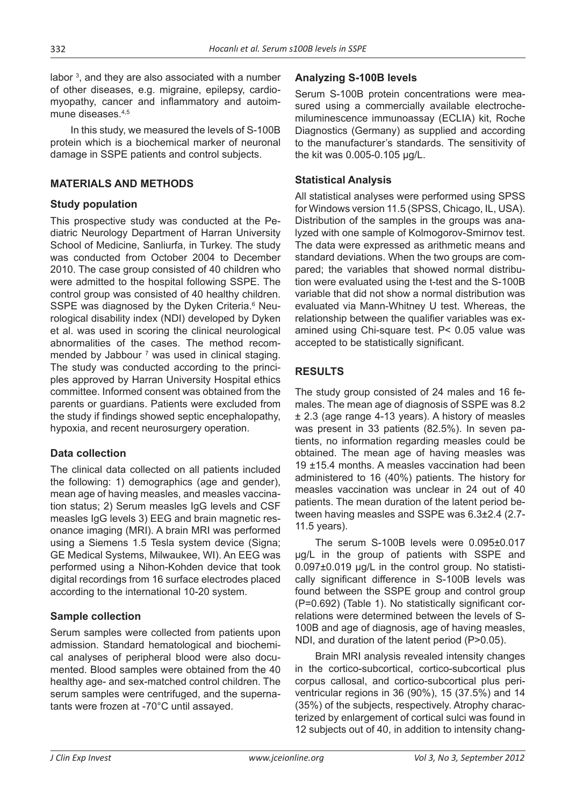labor <sup>3</sup>, and they are also associated with a number of other diseases, e.g. migraine, epilepsy, cardiomyopathy, cancer and inflammatory and autoimmune diseases.<sup>4,5</sup>

In this study, we measured the levels of S-100B protein which is a biochemical marker of neuronal damage in SSPE patients and control subjects.

#### **MATERIALS AND METHODS**

### **Study population**

This prospective study was conducted at the Pediatric Neurology Department of Harran University School of Medicine, Sanliurfa, in Turkey. The study was conducted from October 2004 to December 2010. The case group consisted of 40 children who were admitted to the hospital following SSPE. The control group was consisted of 40 healthy children. SSPE was diagnosed by the Dyken Criteria.<sup>6</sup> Neurological disability index (NDI) developed by Dyken et al. was used in scoring the clinical neurological abnormalities of the cases. The method recommended by Jabbour <sup>7</sup> was used in clinical staging. The study was conducted according to the principles approved by Harran University Hospital ethics committee. Informed consent was obtained from the parents or guardians. Patients were excluded from the study if findings showed septic encephalopathy, hypoxia, and recent neurosurgery operation.

#### **Data collection**

The clinical data collected on all patients included the following: 1) demographics (age and gender), mean age of having measles, and measles vaccination status; 2) Serum measles IgG levels and CSF measles IgG levels 3) EEG and brain magnetic resonance imaging (MRI). A brain MRI was performed using a Siemens 1.5 Tesla system device (Signa; GE Medical Systems, Milwaukee, WI). An EEG was performed using a Nihon-Kohden device that took digital recordings from 16 surface electrodes placed according to the international 10-20 system.

## **Sample collection**

Serum samples were collected from patients upon admission. Standard hematological and biochemical analyses of peripheral blood were also documented. Blood samples were obtained from the 40 healthy age- and sex-matched control children. The serum samples were centrifuged, and the supernatants were frozen at -70°C until assayed.

## **Analyzing S-100B levels**

Serum S-100B protein concentrations were measured using a commercially available electrochemiluminescence immunoassay (ECLIA) kit, Roche Diagnostics (Germany) as supplied and according to the manufacturer's standards. The sensitivity of the kit was 0.005-0.105 µg/L.

## **Statistical Analysis**

All statistical analyses were performed using SPSS for Windows version 11.5 (SPSS, Chicago, IL, USA). Distribution of the samples in the groups was analyzed with one sample of Kolmogorov-Smirnov test. The data were expressed as arithmetic means and standard deviations. When the two groups are compared; the variables that showed normal distribution were evaluated using the t-test and the S-100B variable that did not show a normal distribution was evaluated via Mann-Whitney U test. Whereas, the relationship between the qualifier variables was examined using Chi-square test. P< 0.05 value was accepted to be statistically significant.

# **RESULTS**

The study group consisted of 24 males and 16 females. The mean age of diagnosis of SSPE was 8.2 ± 2.3 (age range 4-13 years). A history of measles was present in 33 patients (82.5%). In seven patients, no information regarding measles could be obtained. The mean age of having measles was 19 ±15.4 months. A measles vaccination had been administered to 16 (40%) patients. The history for measles vaccination was unclear in 24 out of 40 patients. The mean duration of the latent period between having measles and SSPE was 6.3±2.4 (2.7- 11.5 years).

The serum S-100B levels were 0.095±0.017 μg/L in the group of patients with SSPE and 0.097±0.019 μg/L in the control group. No statistically significant difference in S-100B levels was found between the SSPE group and control group (P=0.692) (Table 1). No statistically significant correlations were determined between the levels of S-100B and age of diagnosis, age of having measles, NDI, and duration of the latent period (P>0.05).

Brain MRI analysis revealed intensity changes in the cortico-subcortical, cortico-subcortical plus corpus callosal, and cortico-subcortical plus periventricular regions in 36 (90%), 15 (37.5%) and 14 (35%) of the subjects, respectively. Atrophy characterized by enlargement of cortical sulci was found in 12 subjects out of 40, in addition to intensity chang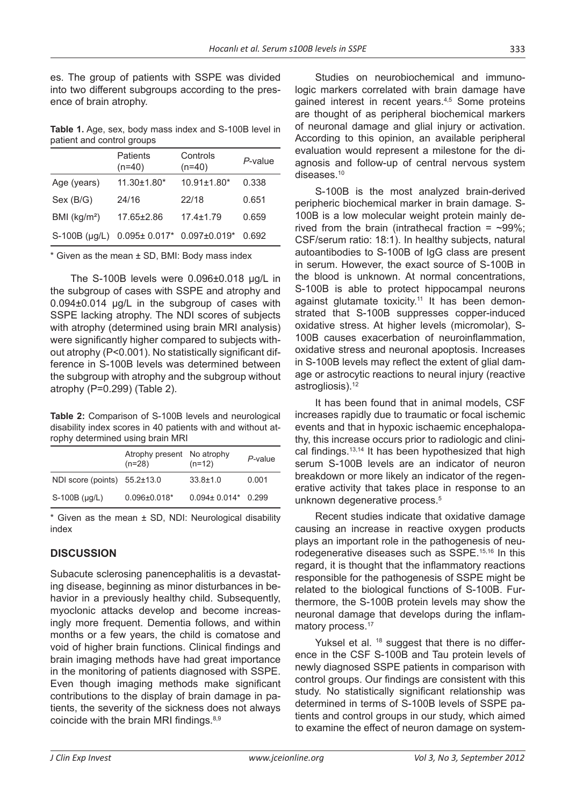es. The group of patients with SSPE was divided into two different subgroups according to the presence of brain atrophy.

**Table 1.** Age, sex, body mass index and S-100B level in patient and control groups

|                          | Patients<br>$(n=40)$                  | Controls<br>$(n=40)$ | P-value |
|--------------------------|---------------------------------------|----------------------|---------|
| Age (years)              | $11.30 \pm 1.80^*$                    | $10.91 \pm 1.80$ *   | 0.338   |
| Sex (B/G)                | 24/16                                 | 22/18                | 0.651   |
| BMI (kg/m <sup>2</sup> ) | 17.65±2.86                            | $17.4 \pm 1.79$      | 0.659   |
| $S-100B$ ( $\mu$ g/L)    | $0.095\pm 0.017$ * $0.097\pm 0.019$ * |                      | 0.692   |

 $*$  Given as the mean  $\pm$  SD, BMI: Body mass index

The S-100B levels were 0.096±0.018 μg/L in the subgroup of cases with SSPE and atrophy and 0.094±0.014 μg/L in the subgroup of cases with SSPE lacking atrophy. The NDI scores of subjects with atrophy (determined using brain MRI analysis) were significantly higher compared to subjects without atrophy (P<0.001). No statistically significant difference in S-100B levels was determined between the subgroup with atrophy and the subgroup without atrophy (P=0.299) (Table 2).

**Table 2:** Comparison of S-100B levels and neurological disability index scores in 40 patients with and without atrophy determined using brain MRI

|                                    | Atrophy present No atrophy<br>$(n=28)$ | $(n=12)$                  | P-value |
|------------------------------------|----------------------------------------|---------------------------|---------|
| NDI score (points) $55.2 \pm 13.0$ |                                        | $33.8 \pm 1.0$            | 0.001   |
| $S-100B$ ( $\mu$ g/L)              | $0.096 \pm 0.018$ *                    | $0.094 \pm 0.014$ $0.299$ |         |

 $*$  Given as the mean  $\pm$  SD, NDI: Neurological disability index

## **DISCUSSION**

Subacute sclerosing panencephalitis is a devastating disease, beginning as minor disturbances in behavior in a previously healthy child. Subsequently, myoclonic attacks develop and become increasingly more frequent. Dementia follows, and within months or a few years, the child is comatose and void of higher brain functions. Clinical findings and brain imaging methods have had great importance in the monitoring of patients diagnosed with SSPE. Even though imaging methods make significant contributions to the display of brain damage in patients, the severity of the sickness does not always coincide with the brain MRI findings.8,9

Studies on neurobiochemical and immunologic markers correlated with brain damage have gained interest in recent years.<sup>4,5</sup> Some proteins are thought of as peripheral biochemical markers of neuronal damage and glial injury or activation. According to this opinion, an available peripheral evaluation would represent a milestone for the diagnosis and follow-up of central nervous system diseases.<sup>10</sup>

S-100B is the most analyzed brain-derived peripheric biochemical marker in brain damage. S-100B is a low molecular weight protein mainly derived from the brain (intrathecal fraction =  $\sim$ 99%; CSF/serum ratio: 18:1). In healthy subjects, natural autoantibodies to S-100B of IgG class are present in serum. However, the exact source of S-100B in the blood is unknown. At normal concentrations, S-100B is able to protect hippocampal neurons against glutamate toxicity.<sup>11</sup> It has been demonstrated that S-100B suppresses copper-induced oxidative stress. At higher levels (micromolar), S-100B causes exacerbation of neuroinflammation, oxidative stress and neuronal apoptosis. Increases in S-100B levels may reflect the extent of glial damage or astrocytic reactions to neural injury (reactive astrogliosis).<sup>12</sup>

It has been found that in animal models, CSF increases rapidly due to traumatic or focal ischemic events and that in hypoxic ischaemic encephalopathy, this increase occurs prior to radiologic and clinical findings.<sup>13,14</sup> It has been hypothesized that high serum S-100B levels are an indicator of neuron breakdown or more likely an indicator of the regenerative activity that takes place in response to an unknown degenerative process.<sup>5</sup>

Recent studies indicate that oxidative damage causing an increase in reactive oxygen products plays an important role in the pathogenesis of neurodegenerative diseases such as SSPE.15,16 In this regard, it is thought that the inflammatory reactions responsible for the pathogenesis of SSPE might be related to the biological functions of S-100B. Furthermore, the S-100B protein levels may show the neuronal damage that develops during the inflammatory process.<sup>17</sup>

Yuksel et al. <sup>18</sup> suggest that there is no difference in the CSF S-100B and Tau protein levels of newly diagnosed SSPE patients in comparison with control groups. Our findings are consistent with this study. No statistically significant relationship was determined in terms of S-100B levels of SSPE patients and control groups in our study, which aimed to examine the effect of neuron damage on system